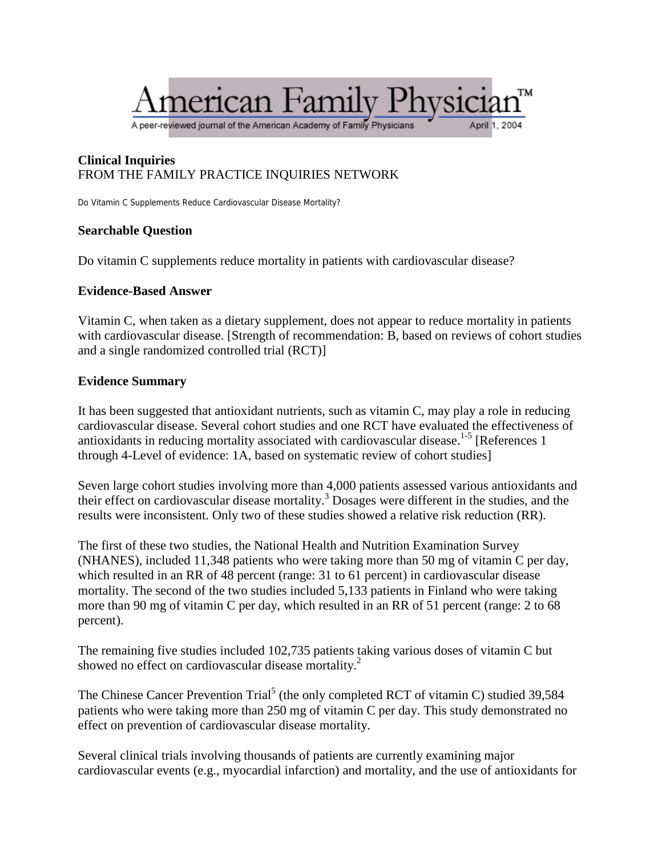# ierican Family

A peer-reviewed journal of the American Academy of Family Physicians

#### **Clinical Inquiries** FROM THE FAMILY PRACTICE INQUIRIES NETWORK

Do Vitamin C Supplements Reduce Cardiovascular Disease Mortality?

## **Searchable Question**

Do vitamin C supplements reduce mortality in patients with cardiovascular disease?

## **Evidence-Based Answer**

Vitamin C, when taken as a dietary supplement, does not appear to reduce mortality in patients with cardiovascular disease. [Strength of recommendation: B, based on reviews of cohort studies and a single randomized controlled trial (RCT)]

## **Evidence Summary**

It has been suggested that antioxidant nutrients, such as vitamin C, may play a role in reducing cardiovascular disease. Several cohort studies and one RCT have evaluated the effectiveness of antioxidants in reducing mortality associated with cardiovascular disease.<sup>1-5</sup> [References 1 through 4-Level of evidence: 1A, based on systematic review of cohort studies]

Seven large cohort studies involving more than 4,000 patients assessed various antioxidants and their effect on cardiovascular disease mortality.<sup>3</sup> Dosages were different in the studies, and the results were inconsistent. Only two of these studies showed a relative risk reduction (RR).

The first of these two studies, the National Health and Nutrition Examination Survey (NHANES), included 11,348 patients who were taking more than 50 mg of vitamin C per day, which resulted in an RR of 48 percent (range: 31 to 61 percent) in cardiovascular disease mortality. The second of the two studies included 5,133 patients in Finland who were taking more than 90 mg of vitamin C per day, which resulted in an RR of 51 percent (range: 2 to 68 percent).

The remaining five studies included 102,735 patients taking various doses of vitamin C but showed no effect on cardiovascular disease mortality.<sup>2</sup>

The Chinese Cancer Prevention Trial<sup>5</sup> (the only completed RCT of vitamin C) studied 39,584 patients who were taking more than 250 mg of vitamin C per day. This study demonstrated no effect on prevention of cardiovascular disease mortality.

Several clinical trials involving thousands of patients are currently examining major cardiovascular events (e.g., myocardial infarction) and mortality, and the use of antioxidants for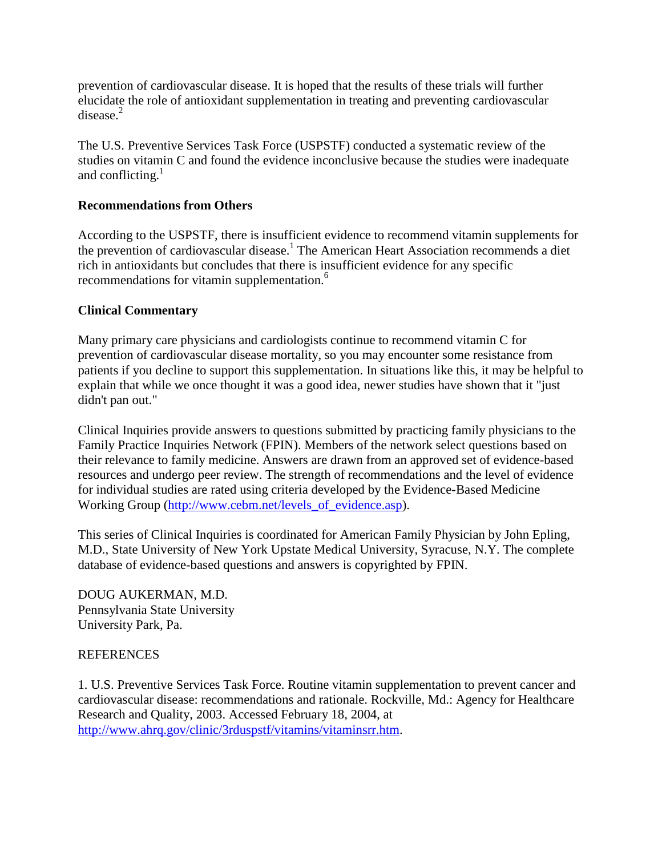prevention of cardiovascular disease. It is hoped that the results of these trials will further elucidate the role of antioxidant supplementation in treating and preventing cardiovascular  $disease<sup>2</sup>$ 

The U.S. Preventive Services Task Force (USPSTF) conducted a systematic review of the studies on vitamin C and found the evidence inconclusive because the studies were inadequate and conflicting. $<sup>1</sup>$ </sup>

## **Recommendations from Others**

According to the USPSTF, there is insufficient evidence to recommend vitamin supplements for the prevention of cardiovascular disease.<sup>1</sup> The American Heart Association recommends a diet rich in antioxidants but concludes that there is insufficient evidence for any specific recommendations for vitamin supplementation.<sup>6</sup>

#### **Clinical Commentary**

Many primary care physicians and cardiologists continue to recommend vitamin C for prevention of cardiovascular disease mortality, so you may encounter some resistance from patients if you decline to support this supplementation. In situations like this, it may be helpful to explain that while we once thought it was a good idea, newer studies have shown that it "just didn't pan out."

Clinical Inquiries provide answers to questions submitted by practicing family physicians to the Family Practice Inquiries Network (FPIN). Members of the network select questions based on their relevance to family medicine. Answers are drawn from an approved set of evidence-based resources and undergo peer review. The strength of recommendations and the level of evidence for individual studies are rated using criteria developed by the Evidence-Based Medicine Working Group [\(http://www.cebm.net/levels\\_of\\_evidence.asp\)](http://www.cebm.net/levels_of_evidence.asp).

This series of Clinical Inquiries is coordinated for American Family Physician by John Epling, M.D., State University of New York Upstate Medical University, Syracuse, N.Y. The complete database of evidence-based questions and answers is copyrighted by FPIN.

DOUG AUKERMAN, M.D. Pennsylvania State University University Park, Pa.

#### **REFERENCES**

1. U.S. Preventive Services Task Force. Routine vitamin supplementation to prevent cancer and cardiovascular disease: recommendations and rationale. Rockville, Md.: Agency for Healthcare Research and Quality, 2003. Accessed February 18, 2004, at [http://www.ahrq.gov/clinic/3rduspstf/vitamins/vitaminsrr.htm.](http://www.ahrq.gov/clinic/3rduspstf/vitamins/vitaminsrr.htm)